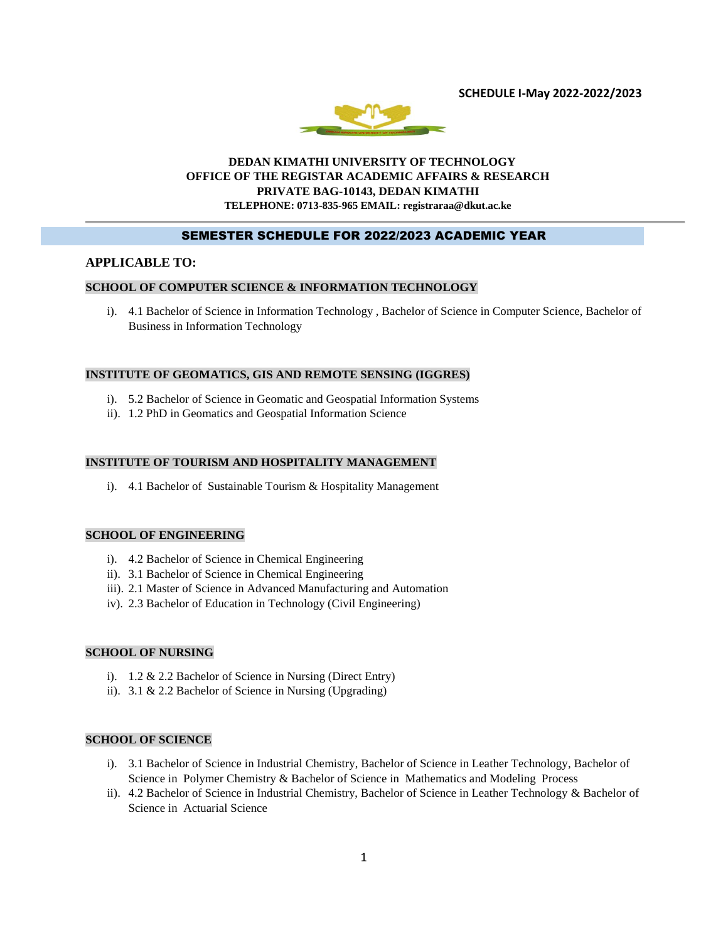**SCHEDULE I-May 2022-2022/2023**



### **DEDAN KIMATHI UNIVERSITY OF TECHNOLOGY OFFICE OF THE REGISTAR ACADEMIC AFFAIRS & RESEARCH PRIVATE BAG-10143, DEDAN KIMATHI TELEPHONE: 0713-835-965 EMAIL: registraraa@dkut.ac.ke**

### SEMESTER SCHEDULE FOR 2022/2023 ACADEMIC YEAR

### **APPLICABLE TO:**

### **SCHOOL OF COMPUTER SCIENCE & INFORMATION TECHNOLOGY**

i). 4.1 Bachelor of Science in Information Technology , Bachelor of Science in Computer Science, Bachelor of Business in Information Technology

#### **INSTITUTE OF GEOMATICS, GIS AND REMOTE SENSING (IGGRES)**

- i). 5.2 Bachelor of Science in Geomatic and Geospatial Information Systems
- ii). 1.2 PhD in Geomatics and Geospatial Information Science

#### **INSTITUTE OF TOURISM AND HOSPITALITY MANAGEMENT**

i). 4.1 Bachelor of Sustainable Tourism & Hospitality Management

#### **SCHOOL OF ENGINEERING**

- i). 4.2 Bachelor of Science in Chemical Engineering
- ii). 3.1 Bachelor of Science in Chemical Engineering
- iii). 2.1 Master of Science in Advanced Manufacturing and Automation
- iv). 2.3 Bachelor of Education in Technology (Civil Engineering)

#### **SCHOOL OF NURSING**

- i). 1.2 & 2.2 Bachelor of Science in Nursing (Direct Entry)
- ii). 3.1 & 2.2 Bachelor of Science in Nursing (Upgrading)

# **SCHOOL OF SCIENCE**

- i). 3.1 Bachelor of Science in Industrial Chemistry, Bachelor of Science in Leather Technology, Bachelor of Science in Polymer Chemistry & Bachelor of Science in Mathematics and Modeling Process
- ii). 4.2 Bachelor of Science in Industrial Chemistry, Bachelor of Science in Leather Technology & Bachelor of Science in Actuarial Science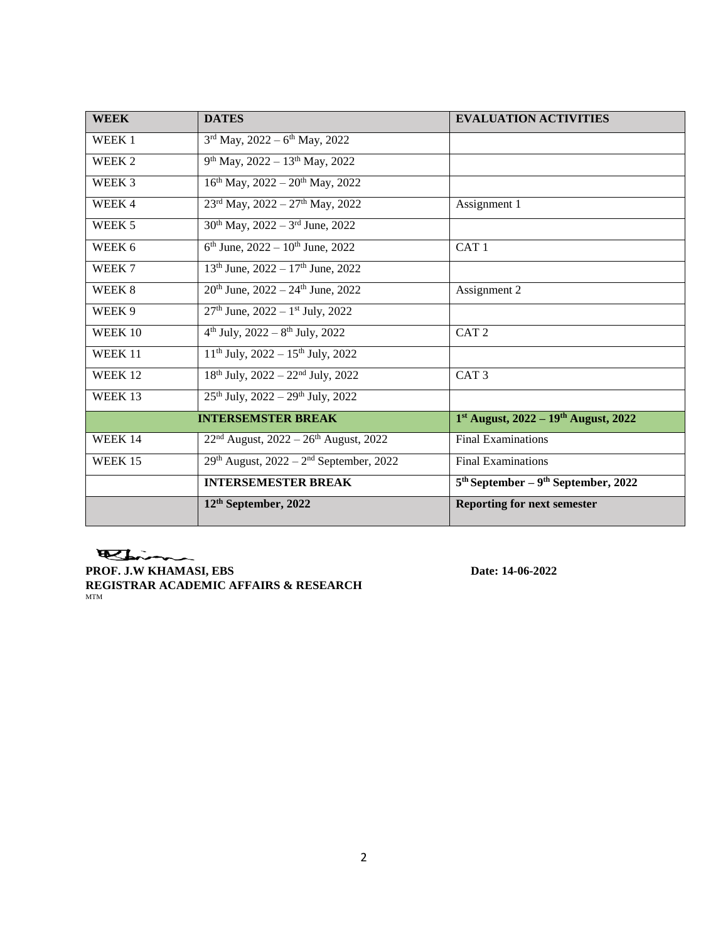| <b>WEEK</b> | <b>DATES</b>                                            | <b>EVALUATION ACTIVITIES</b>          |
|-------------|---------------------------------------------------------|---------------------------------------|
| WEEK 1      | $3rd$ May, 2022 – 6 <sup>th</sup> May, 2022             |                                       |
| WEEK 2      | $9th$ May, 2022 – 13 <sup>th</sup> May, 2022            |                                       |
| WEEK 3      | $16th$ May, 2022 – 20 <sup>th</sup> May, 2022           |                                       |
| WEEK 4      | $23^{\text{rd}}$ May, $2022 - 27^{\text{th}}$ May, 2022 | Assignment 1                          |
| WEEK 5      | $30^{th}$ May, $2022 - 3^{rd}$ June, $2022$             |                                       |
| WEEK 6      | $6th$ June, 2022 – 10 <sup>th</sup> June, 2022          | CAT <sub>1</sub>                      |
| WEEK 7      | $13th$ June, $2022 - 17th$ June, $2022$                 |                                       |
| WEEK 8      | $20th$ June, $2022 - 24th$ June, $2022$                 | Assignment 2                          |
| WEEK 9      | $27th$ June, $2022 - 1st$ July, $2022$                  |                                       |
| WEEK 10     | $4th$ July, 2022 – $8th$ July, 2022                     | CAT <sub>2</sub>                      |
| WEEK 11     | $11th$ July, 2022 – $15th$ July, 2022                   |                                       |
| WEEK 12     | $18th$ July, $2022 - 22nd$ July, $2022$                 | CAT <sub>3</sub>                      |
| WEEK 13     | $25th$ July, $2022 - 29th$ July, $2022$                 |                                       |
|             | <b>INTERSEMSTER BREAK</b>                               | 1st August, 2022 - 19th August, 2022  |
| WEEK 14     | $22nd$ August, $2022 - 26th$ August, 2022               | <b>Final Examinations</b>             |
| WEEK 15     | $29th$ August, $2022 - 2nd$ September, 2022             | <b>Final Examinations</b>             |
|             | <b>INTERSEMESTER BREAK</b>                              | $5th September - 9th September, 2022$ |
|             | 12 <sup>th</sup> September, 2022                        | <b>Reporting for next semester</b>    |

Bin

**PROF. J.W KHAMASI, EBS** Date: 14-06-2022 **REGISTRAR ACADEMIC AFFAIRS & RESEARCH** MTM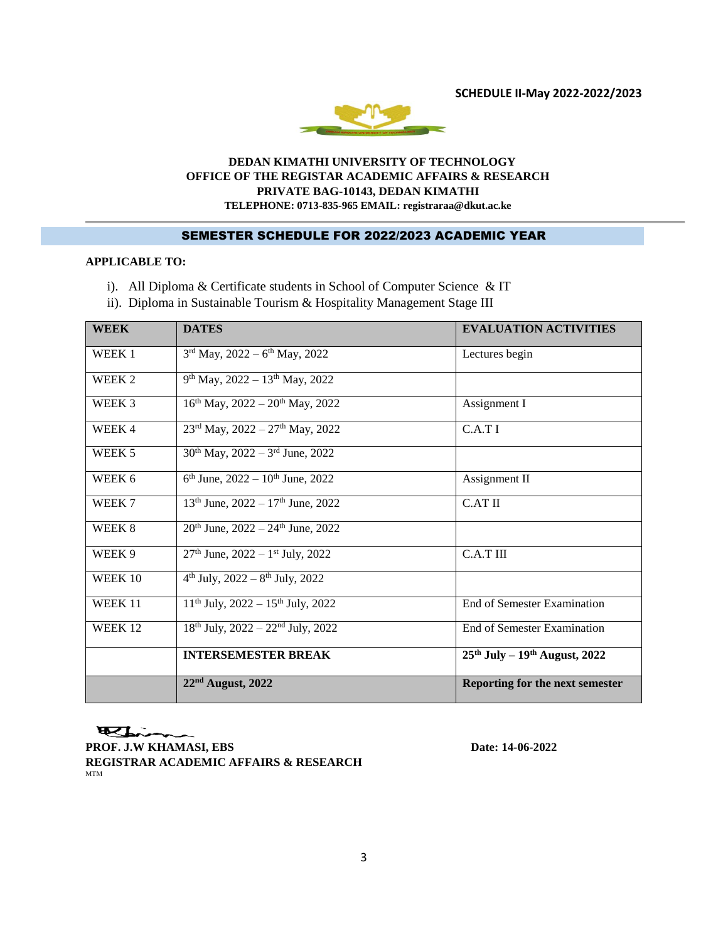**SCHEDULE II-May 2022-2022/2023**



### **DEDAN KIMATHI UNIVERSITY OF TECHNOLOGY OFFICE OF THE REGISTAR ACADEMIC AFFAIRS & RESEARCH PRIVATE BAG-10143, DEDAN KIMATHI TELEPHONE: 0713-835-965 EMAIL: registraraa@dkut.ac.ke**

# SEMESTER SCHEDULE FOR 2022/2023 ACADEMIC YEAR

# **APPLICABLE TO:**

- i). All Diploma & Certificate students in School of Computer Science & IT
- ii). Diploma in Sustainable Tourism & Hospitality Management Stage III

| <b>WEEK</b> | <b>DATES</b>                                              | <b>EVALUATION ACTIVITIES</b>       |
|-------------|-----------------------------------------------------------|------------------------------------|
| WEEK 1      | $3rd$ May, 2022 – 6 <sup>th</sup> May, 2022               | Lectures begin                     |
| WEEK 2      | $9th$ May, 2022 – 13 <sup>th</sup> May, 2022              |                                    |
| WEEK 3      | $16^{th}$ May, $2022 - 20^{th}$ May, 2022                 | Assignment I                       |
| WEEK 4      | $23^{\text{rd}}$ May, $2022 - 27^{\text{th}}$ May, $2022$ | C.A.T I                            |
| WEEK 5      | $30^{th}$ May, $2022 - 3^{rd}$ June, 2022                 |                                    |
| WEEK 6      | $6th$ June, 2022 – 10 <sup>th</sup> June, 2022            | Assignment II                      |
| WEEK 7      | $13th$ June, $2022 - 17th$ June, $2022$                   | C.AT II                            |
| WEEK 8      | $20th$ June, $2022 - 24th$ June, $2022$                   |                                    |
| WEEK 9      | $27th$ June, $2022 - 1st$ July, $2022$                    | C.A.T III                          |
| WEEK 10     | $4th$ July, 2022 – $8th$ July, 2022                       |                                    |
| WEEK 11     | $11th$ July, 2022 – $15th$ July, 2022                     | <b>End of Semester Examination</b> |
| WEEK 12     | $18^{th}$ July, $2022 - 22^{nd}$ July, 2022               | End of Semester Examination        |
|             | <b>INTERSEMESTER BREAK</b>                                | $25th$ July – $19th$ August, 2022  |
|             | $22nd$ August, 2022                                       | Reporting for the next semester    |

Elin **PROF. J.W KHAMASI, EBS** Date: 14-06-2022 **REGISTRAR ACADEMIC AFFAIRS & RESEARCH** MTM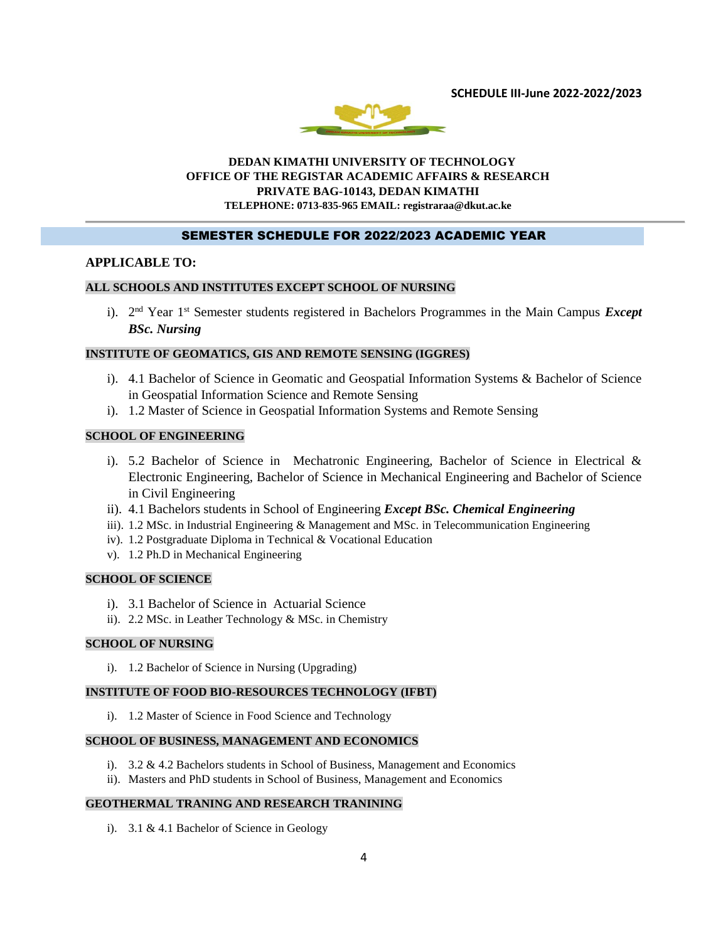**SCHEDULE III-June 2022-2022/2023**



### **DEDAN KIMATHI UNIVERSITY OF TECHNOLOGY OFFICE OF THE REGISTAR ACADEMIC AFFAIRS & RESEARCH PRIVATE BAG-10143, DEDAN KIMATHI TELEPHONE: 0713-835-965 EMAIL: registraraa@dkut.ac.ke**

### SEMESTER SCHEDULE FOR 2022/2023 ACADEMIC YEAR

### **APPLICABLE TO:**

### **ALL SCHOOLS AND INSTITUTES EXCEPT SCHOOL OF NURSING**

i). 2<sup>nd</sup> Year 1<sup>st</sup> Semester students registered in Bachelors Programmes in the Main Campus *Except BSc. Nursing*

### **INSTITUTE OF GEOMATICS, GIS AND REMOTE SENSING (IGGRES)**

- i). 4.1 Bachelor of Science in Geomatic and Geospatial Information Systems & Bachelor of Science in Geospatial Information Science and Remote Sensing
- i). 1.2 Master of Science in Geospatial Information Systems and Remote Sensing

#### **SCHOOL OF ENGINEERING**

- i). 5.2 Bachelor of Science in Mechatronic Engineering, Bachelor of Science in Electrical & Electronic Engineering, Bachelor of Science in Mechanical Engineering and Bachelor of Science in Civil Engineering
- ii). 4.1 Bachelors students in School of Engineering *Except BSc. Chemical Engineering*
- iii). 1.2 MSc. in Industrial Engineering & Management and MSc. in Telecommunication Engineering
- iv). 1.2 Postgraduate Diploma in Technical & Vocational Education
- v). 1.2 Ph.D in Mechanical Engineering

#### **SCHOOL OF SCIENCE**

- i). 3.1 Bachelor of Science in Actuarial Science
- ii). 2.2 MSc. in Leather Technology & MSc. in Chemistry

### **SCHOOL OF NURSING**

i). 1.2 Bachelor of Science in Nursing (Upgrading)

### **INSTITUTE OF FOOD BIO-RESOURCES TECHNOLOGY (IFBT)**

i). 1.2 Master of Science in Food Science and Technology

#### **SCHOOL OF BUSINESS, MANAGEMENT AND ECONOMICS**

- i). 3.2 & 4.2 Bachelors students in School of Business, Management and Economics
- ii). Masters and PhD students in School of Business, Management and Economics

### **GEOTHERMAL TRANING AND RESEARCH TRANINING**

i). 3.1 & 4.1 Bachelor of Science in Geology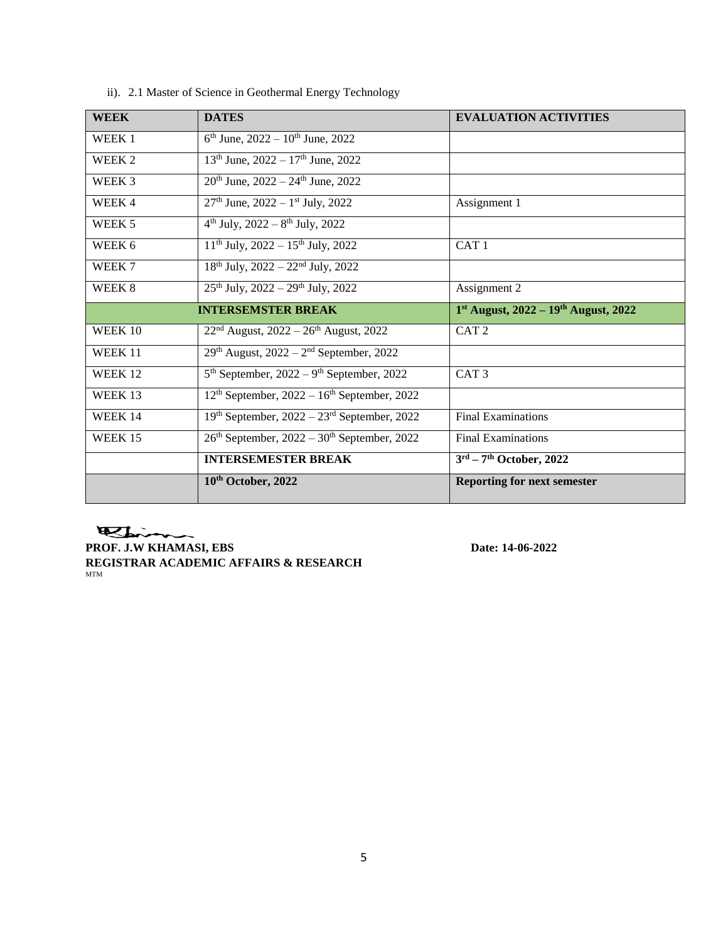| <b>WEEK</b> | <b>DATES</b>                                               | <b>EVALUATION ACTIVITIES</b>             |
|-------------|------------------------------------------------------------|------------------------------------------|
| WEEK 1      | $6^{\text{th}}$ June, $2022 - 10^{\text{th}}$ June, $2022$ |                                          |
| WEEK 2      | $13th$ June, $2022 - 17th$ June, $2022$                    |                                          |
| WEEK 3      | $20^{th}$ June, $2022 - 24^{th}$ June, $2022$              |                                          |
| WEEK 4      | $27th$ June, $2022 - 1st$ July, 2022                       | Assignment 1                             |
| WEEK 5      | $4^{th}$ July, 2022 – $8^{th}$ July, 2022                  |                                          |
| WEEK 6      | $11th$ July, 2022 – $15th$ July, 2022                      | CAT <sub>1</sub>                         |
| WEEK 7      | $18th$ July, $2022 - 22nd$ July, $2022$                    |                                          |
| WEEK 8      | $25th$ July, $2022 - 29th$ July, $2022$                    | Assignment 2                             |
|             | <b>INTERSEMSTER BREAK</b>                                  | $1st$ August, 2022 – $19th$ August, 2022 |
| WEEK 10     | $22nd$ August, $2022 - 26th$ August, 2022                  | CAT <sub>2</sub>                         |
| WEEK 11     | $29th$ August, $2022 - 2nd$ September, 2022                |                                          |
| WEEK 12     | $5th$ September, 2022 – 9 <sup>th</sup> September, 2022    | CAT <sub>3</sub>                         |
| WEEK 13     | $12th$ September, $2022 - 16th$ September, 2022            |                                          |
| WEEK 14     | $19th$ September, $2022 - 23rd$ September, 2022            | <b>Final Examinations</b>                |
| WEEK 15     | $26th$ September, $2022 - 30th$ September, 2022            | <b>Final Examinations</b>                |
|             | <b>INTERSEMESTER BREAK</b>                                 | $3rd - 7th$ October, 2022                |
|             | 10th October, 2022                                         | <b>Reporting for next semester</b>       |

ii). 2.1 Master of Science in Geothermal Energy Technology

Elim **PROF. J.W KHAMASI, EBS** Date: 14-06-2022 **REGISTRAR ACADEMIC AFFAIRS & RESEARCH** MTM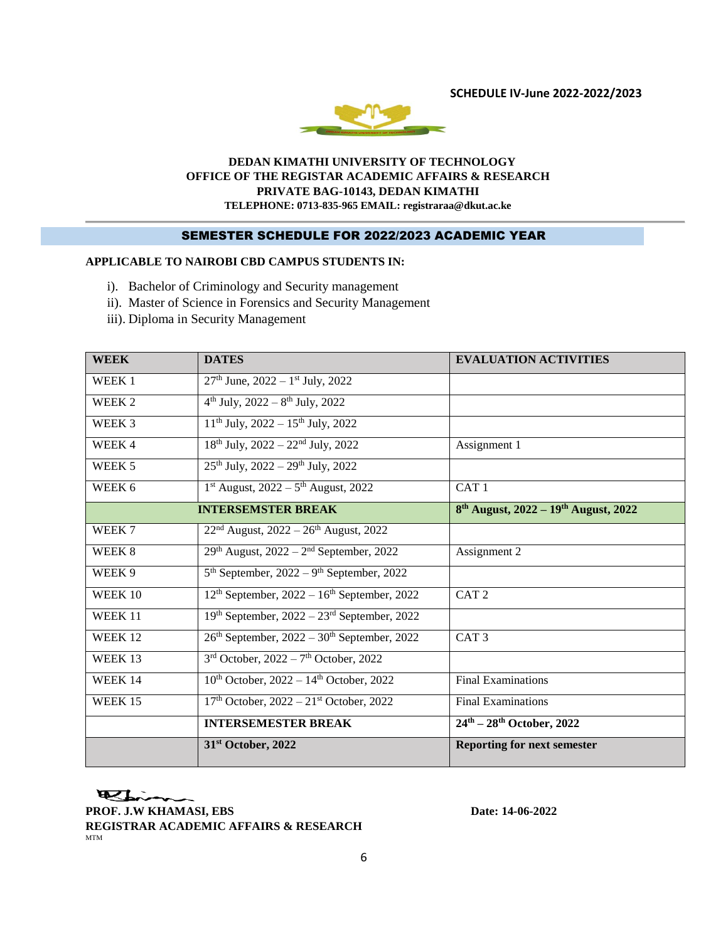**SCHEDULE IV-June 2022-2022/2023**



### **DEDAN KIMATHI UNIVERSITY OF TECHNOLOGY OFFICE OF THE REGISTAR ACADEMIC AFFAIRS & RESEARCH PRIVATE BAG-10143, DEDAN KIMATHI TELEPHONE: 0713-835-965 EMAIL: registraraa@dkut.ac.ke**

# SEMESTER SCHEDULE FOR 2022/2023 ACADEMIC YEAR

## **APPLICABLE TO NAIROBI CBD CAMPUS STUDENTS IN:**

- i). Bachelor of Criminology and Security management
- ii). Master of Science in Forensics and Security Management
- iii). Diploma in Security Management

| <b>WEEK</b> | <b>DATES</b>                                            | <b>EVALUATION ACTIVITIES</b>                                 |
|-------------|---------------------------------------------------------|--------------------------------------------------------------|
| WEEK 1      | $27th$ June, $2022 - 1st$ July, $2022$                  |                                                              |
| WEEK 2      | $4th$ July, $2022 - 8th$ July, 2022                     |                                                              |
| WEEK 3      | $11th$ July, 2022 – $15th$ July, 2022                   |                                                              |
| WEEK 4      | $18^{th}$ July, $2022 - 22^{nd}$ July, 2022             | Assignment 1                                                 |
| WEEK 5      | $25th$ July, $2022 - 29th$ July, $2022$                 |                                                              |
| WEEK 6      | $1st$ August, 2022 – $5th$ August, 2022                 | CAT <sub>1</sub>                                             |
|             | <b>INTERSEMSTER BREAK</b>                               | 8 <sup>th</sup> August, 2022 – 19 <sup>th</sup> August, 2022 |
| WEEK 7      | $22nd$ August, $2022 - 26th$ August, 2022               |                                                              |
| WEEK 8      | $29th$ August, $2022 - 2nd$ September, 2022             | Assignment 2                                                 |
| WEEK 9      | $5th$ September, 2022 – 9 <sup>th</sup> September, 2022 |                                                              |
| WEEK 10     | $12th$ September, $2022 - 16th$ September, 2022         | CAT <sub>2</sub>                                             |
| WEEK 11     | 19th September, 2022 - 23rd September, 2022             |                                                              |
| WEEK 12     | $26th$ September, $2022 - 30th$ September, 2022         | CAT <sub>3</sub>                                             |
| WEEK 13     | $3rd$ October, 2022 – 7 <sup>th</sup> October, 2022     |                                                              |
| WEEK 14     | $10^{th}$ October, $2022 - 14^{th}$ October, 2022       | <b>Final Examinations</b>                                    |
| WEEK 15     | $17th$ October, $2022 - 21st$ October, 2022             | <b>Final Examinations</b>                                    |
|             | <b>INTERSEMESTER BREAK</b>                              | $\overline{24^{th}}$ – 28 <sup>th</sup> October, 2022        |
|             | 31 <sup>st</sup> October, 2022                          | <b>Reporting for next semester</b>                           |

ELin

**PROF. J.W KHAMASI, EBS** Date: 14-06-2022 **REGISTRAR ACADEMIC AFFAIRS & RESEARCH** MTM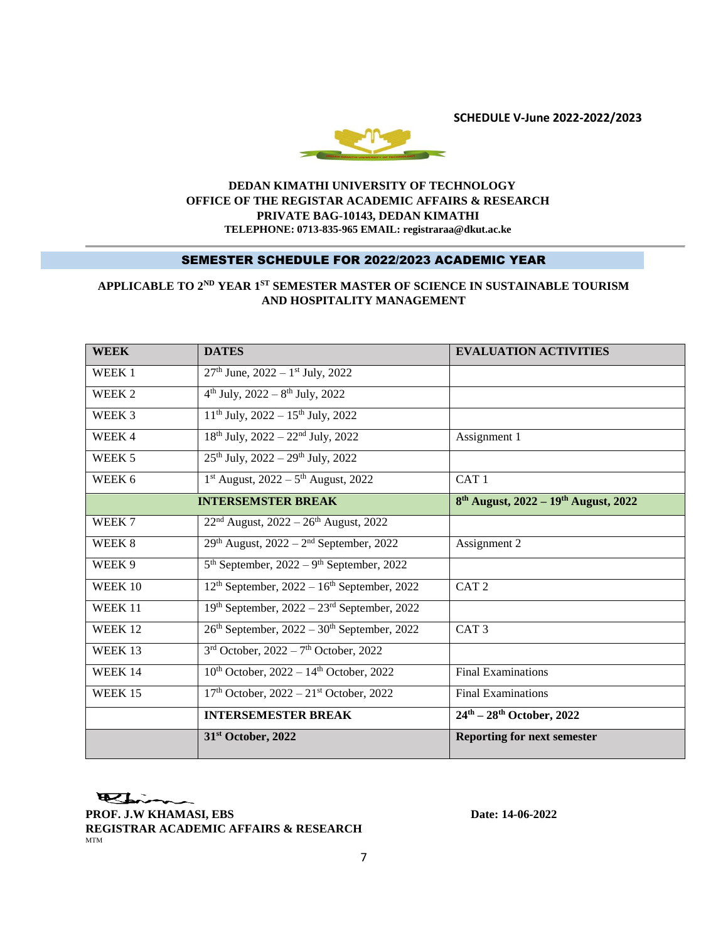**SCHEDULE V-June 2022-2022/2023**



### **DEDAN KIMATHI UNIVERSITY OF TECHNOLOGY OFFICE OF THE REGISTAR ACADEMIC AFFAIRS & RESEARCH PRIVATE BAG-10143, DEDAN KIMATHI TELEPHONE: 0713-835-965 EMAIL: registraraa@dkut.ac.ke**

#### SEMESTER SCHEDULE FOR 2022/2023 ACADEMIC YEAR

# **APPLICABLE TO 2ND YEAR 1ST SEMESTER MASTER OF SCIENCE IN SUSTAINABLE TOURISM AND HOSPITALITY MANAGEMENT**

| <b>WEEK</b> | <b>DATES</b>                                            | <b>EVALUATION ACTIVITIES</b>                          |
|-------------|---------------------------------------------------------|-------------------------------------------------------|
| WEEK 1      | $27th$ June, $2022 - 1st$ July, 2022                    |                                                       |
| WEEK 2      | $4th$ July, 2022 – $8th$ July, 2022                     |                                                       |
| WEEK 3      | $11th$ July, 2022 – $15th$ July, 2022                   |                                                       |
| WEEK 4      | $18th$ July, $2022 - 22nd$ July, $2022$                 | Assignment 1                                          |
| WEEK 5      | $25th$ July, $2022 - 29th$ July, $2022$                 |                                                       |
| WEEK 6      | $1^{st}$ August, $2022 - 5^{th}$ August, 2022           | CAT <sub>1</sub>                                      |
|             | <b>INTERSEMSTER BREAK</b>                               | $8^{th}$ August, 2022 – 19 <sup>th</sup> August, 2022 |
| WEEK 7      | $22nd$ August, $2022 - 26th$ August, 2022               |                                                       |
| WEEK 8      | $29th$ August, $2022 - 2nd$ September, 2022             | Assignment 2                                          |
| WEEK 9      | $5th$ September, 2022 – 9 <sup>th</sup> September, 2022 |                                                       |
| WEEK 10     | $12th$ September, $2022 - 16th$ September, 2022         | CAT <sub>2</sub>                                      |
| WEEK 11     | $19th$ September, $2022 - 23rd$ September, 2022         |                                                       |
| WEEK 12     | $26th$ September, $2022 - 30th$ September, 2022         | CAT <sub>3</sub>                                      |
| WEEK 13     | $3rd$ October, 2022 – 7 <sup>th</sup> October, 2022     |                                                       |
| WEEK 14     | $10th$ October, 2022 - 14 <sup>th</sup> October, 2022   | <b>Final Examinations</b>                             |
| WEEK 15     | $17th$ October, $2022 - 21st$ October, 2022             | <b>Final Examinations</b>                             |
|             | <b>INTERSEMESTER BREAK</b>                              | $24^{\text{th}} - 28^{\text{th}}$ October, 2022       |
|             | 31 <sup>st</sup> October, 2022                          | <b>Reporting for next semester</b>                    |

Esim

**PROF. J.W KHAMASI, EBS** Date: 14-06-2022 **REGISTRAR ACADEMIC AFFAIRS & RESEARCH** MTM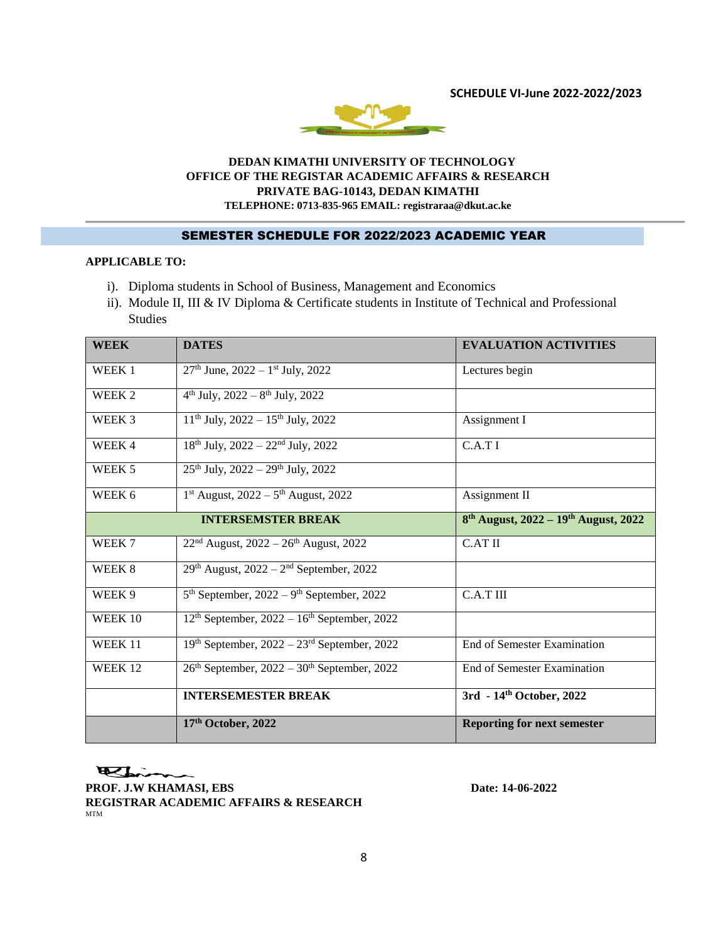**SCHEDULE VI-June 2022-2022/2023**



### **DEDAN KIMATHI UNIVERSITY OF TECHNOLOGY OFFICE OF THE REGISTAR ACADEMIC AFFAIRS & RESEARCH PRIVATE BAG-10143, DEDAN KIMATHI TELEPHONE: 0713-835-965 EMAIL: registraraa@dkut.ac.ke**

# SEMESTER SCHEDULE FOR 2022/2023 ACADEMIC YEAR

# **APPLICABLE TO:**

- i). Diploma students in School of Business, Management and Economics
- ii). Module II, III & IV Diploma & Certificate students in Institute of Technical and Professional Studies

| <b>WEEK</b>        | <b>DATES</b>                                            | <b>EVALUATION ACTIVITIES</b>                                 |
|--------------------|---------------------------------------------------------|--------------------------------------------------------------|
| WEEK 1             | $27th$ June, $2022 - 1st$ July, 2022                    | Lectures begin                                               |
| WEEK 2             | $4^{th}$ July, 2022 – $8^{th}$ July, 2022               |                                                              |
| WEEK 3             | $11th$ July, 2022 – $15th$ July, 2022                   | Assignment I                                                 |
| WEEK 4             | $18^{th}$ July, $2022 - 22^{nd}$ July, $2022$           | C.A.T I                                                      |
| WEEK 5             | $25th$ July, $2022 - 29th$ July, $2022$                 |                                                              |
| WEEK 6             | $1st$ August, 2022 – $5th$ August, 2022                 | Assignment II                                                |
|                    | <b>INTERSEMSTER BREAK</b>                               | 8 <sup>th</sup> August, 2022 – 19 <sup>th</sup> August, 2022 |
| WEEK 7             | $22nd$ August, 2022 – 26 <sup>th</sup> August, 2022     | <b>C.AT II</b>                                               |
| WEEK 8             | $29th$ August, $2022 - 2nd$ September, 2022             |                                                              |
| WEEK 9             | $5th$ September, 2022 – 9 <sup>th</sup> September, 2022 | $C.A.T$ III                                                  |
| WEEK 10            | $12th$ September, $2022 - 16th$ September, 2022         |                                                              |
| WEEK 11            | $19th$ September, $2022 - 23rd$ September, 2022         | End of Semester Examination                                  |
| WEEK <sub>12</sub> | $26th$ September, $2022 - 30th$ September, 2022         | <b>End of Semester Examination</b>                           |
|                    | <b>INTERSEMESTER BREAK</b>                              | 3rd - 14th October, 2022                                     |
|                    | 17th October, 2022                                      | <b>Reporting for next semester</b>                           |

Elin

**PROF. J.W KHAMASI, EBS** Date: 14-06-2022 **REGISTRAR ACADEMIC AFFAIRS & RESEARCH** MTM